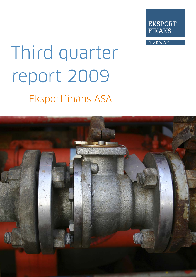

NORWAY

# Third quarter report 2009 **Eksportfinans ASA**

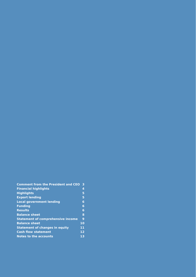| <b>Comment from the President and CEO</b> | 3               |
|-------------------------------------------|-----------------|
| <b>Financial highlights</b>               | 4               |
| <b>Highlights</b>                         | 5               |
| <b>Export lending</b>                     | 5               |
| <b>Local government lending</b>           | 6               |
| <b>Funding</b>                            | 6               |
| <b>Results</b>                            | 6               |
| <b>Balance sheet</b>                      | 8               |
| <b>Statement of comprehensive income</b>  | 9               |
| <b>Balance sheet</b>                      | 10              |
| <b>Statement of changes in equity</b>     | 11              |
| <b>Cash flow statement</b>                | 12              |
| Notes to the accounts                     | $\overline{1}3$ |
|                                           |                 |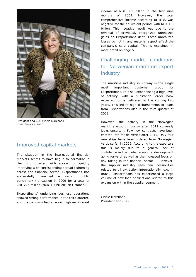

President and CEO Gisèle Marchand (photo: Sverre Chr. Jarlid)

#### Improved capital markets

The situation in the international financial markets seems to have begun to normalize in the third quarter, with access to liquidity improving with corresponding spread tightening across the financial sector. Eksportfinans has successfully launched a second public benchmark transaction in 2009 for a total of CHF 225 million (NOK 1.3 billion) on October 1.

Eksportfinans' underlying business operations showed strong performance in the third quarter, and the company had a record high net interest income of NOK 1.1 billion in the first nine months of 2009. However, the total comprehensive income according to IFRS was negative for the equivalent period, with NOK 1.0 billion. This negative result was due to the reversal of previously recognized unrealized gains on Eksportfinans debt. These unrealized losses do not in any material aspect affect the company's core capital. This is explained in more detail on page 5.

## Challenging market conditions for Norwegian maritime export industry

The maritime industry in Norway is the single most important customer group for Eksportfinans. It is still experiencing a high level of activity, with a substantial order book expected to be delivered in the coming two years. This led to high disbursements of loans from Eksportfinans also in the third quarter of 2009.

However, the activity in the Norwegian maritime export industry after 2011 currently looks uncertain. Few new contracts have been entered into for deliveries after 2011. Only four new ships have been ordered from Norwegian yards so far in 2009. According to the exporters this is mainly due to a general lack of confidence in the global economic development going forward, as well as the increased focus on risk taking in the financial sector. However, the supplier industry sees new possibilities related to oil extraction internationally, e.g. in Brazil. Eksportfinans has experienced a large volume of new loan applications related to this expansion within the supplier segment.

Gisèle Marchand President and CEO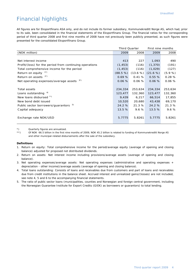# Financial highlights

All figures are for Eksportfinans ASA only, and do not include its former subsidiary, Kommunekreditt Norge AS, which had, prior to its sale, been consolidated in the financial statements of the Eksportfinans Group. The financial ratios for the corresponding period of third quarter 2008 and first nine months of 2008 have not previously been publicly presented, as such figures were presented for the consolidated Eksportfinans Group.

|                                                         | <b>Third Quarter</b> | First nine months |          |         |
|---------------------------------------------------------|----------------------|-------------------|----------|---------|
| (NOK million)                                           | 2009                 | 2008              | 2009     | 2008    |
|                                                         |                      |                   |          |         |
| Net interest income                                     | 413                  | 227               | 1,093    | 490     |
| Profit/(loss) for the period from continuing operations | (1, 453)             | (116)             | (1, 370) | (191)   |
| Total comprehensive income for the period               | (1, 453)             | (116)             | (1,029)  | (127)   |
| Return on equity $1^{\prime}$                           | $(88.5\%)$           | (13.6 %)          | (21.6 %) | (5.9%   |
| $2^{*}$<br>Return on assets                             | 0.69%                | 0.41%             | 0.55%    | 0.28%   |
| Net operating expenses/average assets 3*)               | 0.06%                | 0.06%             | 0.06%    | 0.06%   |
|                                                         |                      |                   |          |         |
| Total assets                                            | 234,334              | 253,634           | 234,334  | 253,634 |
| Loans outstanding 4)                                    | 123,477              | 132,360           | 123,477  | 132,360 |
| New loans disbursed **)                                 | 9,439                | 6,217             | 66,514   | 17,855  |
| New bond debt issued                                    | 10,520               | 20,680            | 43,438   | 69,170  |
| Public sector borrowers/quarantors                      | 24.2 %               | 21.3 %            | 24.2 %   | 21.3 %  |
| Capital adequacy                                        | 13.5%                | 9.6%              | 13.5%    | 9.6%    |
|                                                         |                      |                   |          |         |
| Exchange rate NOK/USD                                   | 5.7775               | 5.8261            | 5.7775   | 5.8261  |
|                                                         |                      |                   |          |         |

\*) Quarterly figures are annualized.

\*\*) Of NOK 66.5 billion in the first nine months of 2009, NOK 45.2 billion is related to funding of Kommunekreditt Norge AS and other municipal-related disbursements after the sale of the subsidiary.

#### **Definitions**

- 1. Return on equity: Total comprehensive income for the period/average equity (average of opening and closing balance) adjusted for proposed not distributed dividends.
- 2. Return on assets: Net interest income including provisions/average assets (average of opening and closing balance).
- 3. Net operating expenses/average assets: Net operating expenses (administrative and operating expenses + depreciation - other income)/average assets (average of opening and closing balance).
- 4. Total loans outstanding: Consists of loans and receivables due from customers and part of loans and receivables due from credit institutions in the balance sheet. Accrued interest and unrealized gains/(losses) are not included, see note 4, 5 and 6 to the accompanying financial statements.
- 5. The ratio of public sector loans (municipalities, counties and Norwegian and foreign central government, including the Norwegian Guarantee Institute for Export Credits (GIEK) as borrowers or guarantors) to total lending.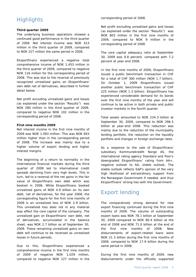# **Highlights**

#### **Third quarter 2009**

The underlying business operations showed a continued good performance in the third quarter of 2009. Net interest income was NOK 413 million in the third quarter of 2009, compared to NOK 227 million the same period in 2008.

Eksportfinans experienced a negative total comprehensive income of NOK 1,453 million in the third quarter of 2009, compared to negative NOK 116 million for the corresponding period of 2008. This was due to the reversal of previously recognized unrealized gains on Eksportfinans' own debt net of derivatives, described in further detail below.

Net profit excluding unrealized gains and losses (as explained under the section "Results") was NOK 280 million in the third quarter of 2009, compared to negative NOK 102 million in the corresponding period of 2008.

#### **First nine months 2009**

Net interest income in the first nine months of 2009 was NOK 1,093 million. This was NOK 603 million higher than in the corresponding period of 2008. The increase was mainly due to a higher volume of export lending and higher interest margins.

The beginning of a return to normality in the international financial markets during the third quarter of 2009 led to international credit spreads declining from very high levels. This in turn, led to a reversal of the net gains in the fair value of Eksportfinans own debt which was booked in 2008. While Eksportfinans booked unrealized gains of NOK 4.9 billion on its own debt, net of derivatives, for the year 2008, the corresponding figure for the first nine months of 2009 is an unrealized loss of NOK 2.9 billion. This unrealized loss does not in any material way affect the core capital of the company. The unrealized gain on Eksportfinans' own debt, net of derivatives, accumulated in the balance sheet, was NOK 2.7 billion as of September 30, 2009. These remaining unrealized gains on own debt will continue to be reversed as unrealized losses in future periods.

Due to this, Eksportfinans experienced a comprehensive income in the first nine months of 2009 of negative NOK 1,029 million, compared to negative NOK 127 million in the

corresponding period of 2008.

Net profit excluding unrealized gains and losses (as explained under the section "Results") was NOK 803 million in the first nine months of 2009, compared to NOK 9 million in the corresponding period of 2008.

The core capital adequacy ratio at September 30, 2009 was 9.8 percent, compared with 7.2 percent at year-end 2008.

In the first nine months of 2009, Eksportfinans issued a public benchmark transaction in CHF for a total of CHF 300 million (NOK 1.7 billion). On October 1, 2009 Eksportfinans issued another public benchmark transaction of CHF 225 million (NOK 1.3 billion). Eksportfinans has experienced considerable demand for its bonds over the first nine months of the year and will continue to be active in both private and public investor markets in the fourth quarter.

Total assets amounted to NOK 234.3 billion at September 30, 2009, compared to NOK 296.5 billion at year-end 2008. This reduction was mainly due to the reduction of the municipality lending portfolio, the reduction on the liquidity portfolio and changes in foreign exchange rates.

As a response to the sale of Eksportfinans' subsidiary Kommunekreditt Norge AS, the international rating agency Standard and Poor's downgraded Eksportfinans' rating from AA+, negative outlook to AA, stable outlook. The stable outlook reflects S&P's opinion of the very high likelihood of extraordinary support from the Norwegian Government if needed, and thus Eksportfinans' strong ties with the Government.

# Export lending

The comparatively strong demand for new export financing continued during the first nine months of 2009. The volume of outstanding export loans was NOK 78.1 billion at September 30, 2009 compared to NOK 80.4 billion at the end of 2008 and NOK 71.0 billion at the end of the first nine months of 2008. New disbursements of export-related loans were NOK 21.3 billion during the first nine months of 2009, compared to NOK 17.9 billion during the same period in 2008.

During the first nine months of 2009, new disbursements under the officially supported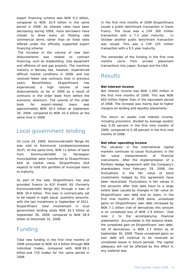export financing scheme was NOK 9.3 billion, compared to NOK 10.9 billion in the same period in 2008. As interest rates have been decreasing during 2009, more borrowers have chosen to draw loans on floating rate commercial terms rather than on fixed rates offered under the officially supported export financing scheme.

 The increase in the volume of new loan disbursements was related to contract financing, such as shipbuilding, ship equipment and offshore oil and gas projects. The maritime industry in Norway has, however, experienced difficult market conditions in 2009, and has received fewer new contracts than in previous years. Nevertheless, Eksportfinans has experienced a high volume of new disbursements so far in 2009 as a result of contracts in the order book from before the economic downturn. The volume of the order book for export-related loans was approximately NOK 30.5 billion at September 30, 2009, compared to NOK 42.0 billion at the same time in 2008.

## Local government lending

On June 24, 2009, Kommunekreditt Norge AS was sold to Kommunal Landspensjonskasse (KLP). At the same time, NOK 11 billion of loans from Kommunekreditt to Norwegian municipalities were transferred to Eksportfinans ASA at market value. Eksportfinans ASA expects to hold this portfolio of municipal loans to maturity.

As part of the sale, Eksportfinans has also provided finance to KLP Kreditt AS (formerly Kommunekreditt Norge AS) through a loan of NOK 34.4 billion. This loan is contractually set to be repaid in eight equal, quarterly amounts, with the last installment in September of 2011. Eksportfinans' total involvement in local government lending totals NOK 45.3 billion at September 30, 2009, compared to NOK 58.9 billion at December 31, 2008.

## Funding

Total new funding in the first nine months of 2009 amounted to NOK 43.4 billion through 888 individual trades, compared with NOK 69.2 billion and 710 trades for the same period in 2008.

In the first nine months of 2009 Eksportfinans issued a public benchmark transaction in Swiss Francs. The issue was a CHF 300 million transaction with a 7.5 year maturity. In October another public benchmark transaction was issued. This was a CHF 225 million transaction with a 9.5 year maturity.

The remainder of the funding in the first nine months came from private placement transactions into Japan, Europe and the USA.

## **Results**

#### **Net interest income**

Net interest income was NOK 1,093 million in the first nine months of 2009. This was NOK 603 million higher than in the equivalent period of 2008. The increase was mainly due to higher margins on lending and liquidity placements.

The return on assets (net interest income, including provisions, divided by average assets) was 0.55 percent in the first nine months of 2009, compared to 0.28 percent in the first nine months of 2008.

#### **Net other operating income**

The situation in the international capital markets continues to cause fluctuations in the fair value measurements of financial instruments. After the implementation of a Portfolio Hedge Agreement with the Company's shareholders from February 29, 2008, the fluctuations in the fair value of bond investments hedged by this agreement have been neutralized. Fluctuations in fair values in the accounts after that date have to a large extent been caused by changes in fair value on Eksportfinans' own debt and on loans. In the first nine months of 2009 alone, unrealized gains on Eksportfinans' own debt increased by NOK 7.1 billion (net of derivatives this amount is an unrealized loss of NOK 2.9 billion). (See note 2 to the accompanying financial statements). Accumulated in the balance sheet, the unrealized gain on Eksportfinans' own debt, net of derivatives, is NOK 2.7 billion as of September 30, 2009. These unrealized gains on own debt will continue to be reversed as unrealized losses in future periods. The capital adequacy will not be affected by this effect in any material way.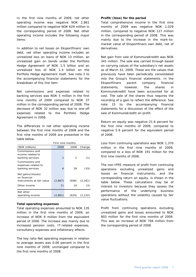In the first nine months of 2009, net other operating income was negative NOK 2,861 million compared to negative NOK 629 million in the corresponding period of 2008. Net other operating income includes the following major items:

In addition to net losses on Eksportfinans' own debt, net other operating income includes an unrealized loss on loans of NOK 13 million, an unrealized gain on bonds under the Portfolio Hedge Agreement of NOK 1.5 billion and an unrealized loss of NOK 1.4 billion on the Portfolio Hedge Agreement itself. See note 2 to the accompanying financial statements for the breakdown of this line item.

Net commissions and expenses related to banking services was NOK 5 million in the first nine months of 2009 compared to NOK 37 million in the corresponding period of 2008. The decrease of NOK 32 million was due to one-off expenses related to the Portfolio Hedge Agreement in 2008.

The differences in net other operating income between the first nine months of 2008 and the first nine months of 2009 are presented in the table below.

|                                                                 |         | First nine months |          |  |  |
|-----------------------------------------------------------------|---------|-------------------|----------|--|--|
| (NOK millions)                                                  | 2009    | 2008              | Change   |  |  |
| Commissions and<br>income related to<br>banking services        | 1       | 2                 | (1)      |  |  |
| Commissions and<br>expenses related to<br>banking services      | 6       | 39                | (33)     |  |  |
| Net gains/(losses)<br>on financial<br>instruments at fair value | (2,867) | (606)             | (2, 261) |  |  |
| Other income                                                    | 11      | 14                | (3)      |  |  |
| Net other<br>operating income                                   | (2,861) | (629)             | (2, 232) |  |  |

#### **Total operating expenses**

Total operating expenses amounted to NOK 135 million in the first nine months of 2009, an increase of NOK 9 million from the equivalent period of 2008. The increase was mainly due to increased pension costs, IT-related expenses, consultancy expenses and inflationary effects.

The key ratio Net operating expenses in relation to average assets was 0.06 percent in the first nine months of 2009, unchanged compared to the first nine months of 2008.

#### **Profit/(loss) for the period**

Total comprehensive income in the first nine months of 2009 was negative NOK 1,029 million, compared to negative NOK 127 million in the corresponding period of 2008. This was mainly due to the increase in the mark-tomarket value of Eksportfinans own debt, net of derivatives.

Net gain from sale of Kommunekreditt was NOK 341 million. The sale was carried through based on carrying values of the subsidiary's net assets as of March 31, 2009. These are the values that previously have been periodically consolidated into the Group's financial statements. In the Eksportfinans parent company financial statements, however, the shares in Kommunekreditt have been accounted for at cost. The sale of the shares thus requires the recording of a gain to reflect the difference. See note 15 to the accompanying financial statements for a discussion of the effect of the sale of Kommunekreditt on profit.

Return on equity was negative 21.6 percent for the first nine months of 2009, compared to negative 5.9 percent for the equivalent period of 2008.

Loss from continuing operations was NOK 1,370 million in the first nine months of 2009, compared to a loss of NOK 191 million for the first nine months of 2008.

The non-IFRS measure of profit from continuing operations excluding unrealized gains and losses on financial instruments, and the corresponding return on equity, is shown in the table below. These calculations may be of interest to investors because they assess the performance of the underlying business operations without the volatility caused by fair value fluctuations.

Profit from continuing operations excluding unrealized gains and losses amounted to NOK 803 million for the first nine months of 2009. This was an increase of NOK 794 million from the corresponding period of 2008.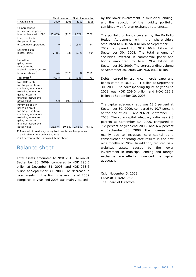|                                                                                                                                                                            |                | Third quarter |         | First nine months |
|----------------------------------------------------------------------------------------------------------------------------------------------------------------------------|----------------|---------------|---------|-------------------|
| (NOK million)                                                                                                                                                              | 2009           | 2008          | 2009    | 2008              |
| Comprehensive<br>income for the period<br>in accordance with IFRS                                                                                                          | (1, 453)       | (116)         | (1,029) | (127)             |
| Loss/(profit) for<br>the period from<br>discontinued operations                                                                                                            | $\overline{0}$ | 0             | (341)   | (64)              |
| Net unrealized<br>losses/(gains)                                                                                                                                           | 2,411          | 335           | 2,926   | 594               |
| Unrealized<br>gains/(losses)<br>related to the<br>Icelandic bank exposure<br>included above <sup>1)</sup>                                                                  | (4)            | (316)         | 92      | (316)             |
| Tax-effect <sup>2)</sup>                                                                                                                                                   | (674)          | (5)           | (845)   | (78)              |
| Non-IFRS profit<br>for the period from<br>continuing operations<br>excluding unrealized<br>gains/(losses) on<br>financial instruments<br>at fair value                     | 280            | (102)         | 803     | 9                 |
| Return on equity<br>based on profit<br>for the period from<br>continuing operations<br>excluding unrealized<br>gains/(losses) on<br>financial instruments<br>at fair value | 23.6 %         | $-10.3%$      | 23.5 %  | 0.4%              |

1) Reversal of previously recognized loss (at exchange rates applicable at September 30, 2009)

2) 28 percent of the unrealized items above

## Balance sheet

Total assets amounted to NOK 234.3 billion at September 30, 2009, compared to NOK 296.5 billion at December 31, 2008, and NOK 253.6 billion at September 30, 2008. The decrease in total assets in the first nine months of 2009 compared to year-end 2008 was mainly caused

by the lower involvement in municipal lending, and the reduction of the liquidity portfolio, combined with foreign exchange rate effects.

The portfolio of bonds covered by the Portfolio Hedge Agreement with the shareholders amounted to NOK 56.0 billion at September 30, 2009, compared to NOK 66.4 billion at September 30, 2008. The total amount of securities invested in commercial paper and bonds amounted to NOK 79.4 billion at September 30, 2009. The corresponding volume at September 30, 2008 was NOK 84.1 billion.

Debts incurred by issuing commercial paper and bonds came to NOK 200.1 billion at September 30, 2009. The corresponding figure at year-end 2008 was NOK 259.0 billion and NOK 232.3 billion at September 30, 2008.

The capital adequacy ratio was 13.5 percent at September 30, 2009, compared to 10.7 percent at the end of 2008, and 9.6 at September 30, 2008. The core capital adequacy ratio was 9.8 percent at September 30, 2009, compared to 7.2 percent at year-end 2008, and 6.4 percent at September 30, 2008. The increase was mainly due to increased core capital as a consequence of strong core results in the first nine months of 2009. In addition, reduced riskweighted assets caused by the lower involvement in municipal lending and foreign exchange rate effects influenced the capital adequacy.

Oslo, November 5, 2009 EKSPORTFINANS ASA The Board of Directors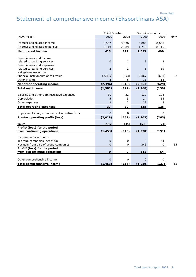# Statement of comprehensive income (Eksportfinans ASA)

| (NOK million)<br>2009<br>2008<br>2009<br>2008<br><b>Note</b><br>Interest and related income<br>1,562<br>3,036<br>5,803<br>8,605<br>Interest and related expenses<br>1,149<br>2,809<br>4,710<br>8,115<br>413<br>227<br>1,093<br>490<br>Net interest income<br>Commissions and income<br>related to banking services<br>$\mathbf 0$<br>1<br>1<br>2<br>Commissions and expenses<br>$\overline{2}$<br>related to banking services<br>2<br>39<br>6<br>Net gains/(losses) on<br>financial instruments at fair value<br>(2, 395)<br>(353)<br>(606)<br>(2,867)<br>2<br>3<br>5<br>11<br>14<br>Other income<br>(2, 394)<br>(2, 861)<br>Net other operating income<br>(349)<br>(629)<br><b>Total net income</b><br>(1,981)<br>(1, 768)<br>(122)<br>(139)<br>32<br>30<br>110<br>104<br>Salaries and other administrative expenses<br>5<br>5<br>14<br>Depreciation<br>14<br>$\overline{2}$<br>2<br>11<br>8<br>Other expenses<br>37<br>39<br>135<br>126<br><b>Total operating expenses</b><br>$\overline{O}$<br>$\mathbf{O}$<br>$\mathsf{O}$<br>Impairment charges on loans at amortized cost<br>(2,018)<br>(161)<br>(1,903)<br>(265)<br>Pre-tax operating profit/(loss)<br>(565)<br>(45)<br>(533)<br>(74)<br>Taxes<br>Profit/(loss) for the period<br>from continuing operations<br>(1, 453)<br>(116)<br>(1, 370)<br>(191)<br>Income on investments<br>$\mathbf{O}$<br>64<br>in group companies, net of tax<br>$\mathbf 0$<br>$\Omega$<br>Net gain from sale of group companies<br>$\overline{O}$<br>15<br>0<br>341<br>0<br>Profit/(loss) for the period<br>from discontinued operations<br>$\mathbf 0$<br>O<br>341<br>64<br>$\overline{O}$<br>$\mathbf 0$<br>$\overline{O}$<br>$\mathbf{O}$<br>Other comprehensive income<br>Total comprehensive income<br>(1, 453)<br>(116)<br>(1,029)<br>(127)<br>15 | <b>Third Quarter</b><br>First nine months |  |  |  |
|--------------------------------------------------------------------------------------------------------------------------------------------------------------------------------------------------------------------------------------------------------------------------------------------------------------------------------------------------------------------------------------------------------------------------------------------------------------------------------------------------------------------------------------------------------------------------------------------------------------------------------------------------------------------------------------------------------------------------------------------------------------------------------------------------------------------------------------------------------------------------------------------------------------------------------------------------------------------------------------------------------------------------------------------------------------------------------------------------------------------------------------------------------------------------------------------------------------------------------------------------------------------------------------------------------------------------------------------------------------------------------------------------------------------------------------------------------------------------------------------------------------------------------------------------------------------------------------------------------------------------------------------------------------------------------------------------------------------------------------------------------------------------------------------|-------------------------------------------|--|--|--|
|                                                                                                                                                                                                                                                                                                                                                                                                                                                                                                                                                                                                                                                                                                                                                                                                                                                                                                                                                                                                                                                                                                                                                                                                                                                                                                                                                                                                                                                                                                                                                                                                                                                                                                                                                                                            |                                           |  |  |  |
|                                                                                                                                                                                                                                                                                                                                                                                                                                                                                                                                                                                                                                                                                                                                                                                                                                                                                                                                                                                                                                                                                                                                                                                                                                                                                                                                                                                                                                                                                                                                                                                                                                                                                                                                                                                            |                                           |  |  |  |
|                                                                                                                                                                                                                                                                                                                                                                                                                                                                                                                                                                                                                                                                                                                                                                                                                                                                                                                                                                                                                                                                                                                                                                                                                                                                                                                                                                                                                                                                                                                                                                                                                                                                                                                                                                                            |                                           |  |  |  |
|                                                                                                                                                                                                                                                                                                                                                                                                                                                                                                                                                                                                                                                                                                                                                                                                                                                                                                                                                                                                                                                                                                                                                                                                                                                                                                                                                                                                                                                                                                                                                                                                                                                                                                                                                                                            |                                           |  |  |  |
|                                                                                                                                                                                                                                                                                                                                                                                                                                                                                                                                                                                                                                                                                                                                                                                                                                                                                                                                                                                                                                                                                                                                                                                                                                                                                                                                                                                                                                                                                                                                                                                                                                                                                                                                                                                            |                                           |  |  |  |
|                                                                                                                                                                                                                                                                                                                                                                                                                                                                                                                                                                                                                                                                                                                                                                                                                                                                                                                                                                                                                                                                                                                                                                                                                                                                                                                                                                                                                                                                                                                                                                                                                                                                                                                                                                                            |                                           |  |  |  |
|                                                                                                                                                                                                                                                                                                                                                                                                                                                                                                                                                                                                                                                                                                                                                                                                                                                                                                                                                                                                                                                                                                                                                                                                                                                                                                                                                                                                                                                                                                                                                                                                                                                                                                                                                                                            |                                           |  |  |  |
|                                                                                                                                                                                                                                                                                                                                                                                                                                                                                                                                                                                                                                                                                                                                                                                                                                                                                                                                                                                                                                                                                                                                                                                                                                                                                                                                                                                                                                                                                                                                                                                                                                                                                                                                                                                            |                                           |  |  |  |
|                                                                                                                                                                                                                                                                                                                                                                                                                                                                                                                                                                                                                                                                                                                                                                                                                                                                                                                                                                                                                                                                                                                                                                                                                                                                                                                                                                                                                                                                                                                                                                                                                                                                                                                                                                                            |                                           |  |  |  |
|                                                                                                                                                                                                                                                                                                                                                                                                                                                                                                                                                                                                                                                                                                                                                                                                                                                                                                                                                                                                                                                                                                                                                                                                                                                                                                                                                                                                                                                                                                                                                                                                                                                                                                                                                                                            |                                           |  |  |  |
|                                                                                                                                                                                                                                                                                                                                                                                                                                                                                                                                                                                                                                                                                                                                                                                                                                                                                                                                                                                                                                                                                                                                                                                                                                                                                                                                                                                                                                                                                                                                                                                                                                                                                                                                                                                            |                                           |  |  |  |
|                                                                                                                                                                                                                                                                                                                                                                                                                                                                                                                                                                                                                                                                                                                                                                                                                                                                                                                                                                                                                                                                                                                                                                                                                                                                                                                                                                                                                                                                                                                                                                                                                                                                                                                                                                                            |                                           |  |  |  |
|                                                                                                                                                                                                                                                                                                                                                                                                                                                                                                                                                                                                                                                                                                                                                                                                                                                                                                                                                                                                                                                                                                                                                                                                                                                                                                                                                                                                                                                                                                                                                                                                                                                                                                                                                                                            |                                           |  |  |  |
|                                                                                                                                                                                                                                                                                                                                                                                                                                                                                                                                                                                                                                                                                                                                                                                                                                                                                                                                                                                                                                                                                                                                                                                                                                                                                                                                                                                                                                                                                                                                                                                                                                                                                                                                                                                            |                                           |  |  |  |
|                                                                                                                                                                                                                                                                                                                                                                                                                                                                                                                                                                                                                                                                                                                                                                                                                                                                                                                                                                                                                                                                                                                                                                                                                                                                                                                                                                                                                                                                                                                                                                                                                                                                                                                                                                                            |                                           |  |  |  |
|                                                                                                                                                                                                                                                                                                                                                                                                                                                                                                                                                                                                                                                                                                                                                                                                                                                                                                                                                                                                                                                                                                                                                                                                                                                                                                                                                                                                                                                                                                                                                                                                                                                                                                                                                                                            |                                           |  |  |  |
|                                                                                                                                                                                                                                                                                                                                                                                                                                                                                                                                                                                                                                                                                                                                                                                                                                                                                                                                                                                                                                                                                                                                                                                                                                                                                                                                                                                                                                                                                                                                                                                                                                                                                                                                                                                            |                                           |  |  |  |
|                                                                                                                                                                                                                                                                                                                                                                                                                                                                                                                                                                                                                                                                                                                                                                                                                                                                                                                                                                                                                                                                                                                                                                                                                                                                                                                                                                                                                                                                                                                                                                                                                                                                                                                                                                                            |                                           |  |  |  |
|                                                                                                                                                                                                                                                                                                                                                                                                                                                                                                                                                                                                                                                                                                                                                                                                                                                                                                                                                                                                                                                                                                                                                                                                                                                                                                                                                                                                                                                                                                                                                                                                                                                                                                                                                                                            |                                           |  |  |  |
|                                                                                                                                                                                                                                                                                                                                                                                                                                                                                                                                                                                                                                                                                                                                                                                                                                                                                                                                                                                                                                                                                                                                                                                                                                                                                                                                                                                                                                                                                                                                                                                                                                                                                                                                                                                            |                                           |  |  |  |
|                                                                                                                                                                                                                                                                                                                                                                                                                                                                                                                                                                                                                                                                                                                                                                                                                                                                                                                                                                                                                                                                                                                                                                                                                                                                                                                                                                                                                                                                                                                                                                                                                                                                                                                                                                                            |                                           |  |  |  |
|                                                                                                                                                                                                                                                                                                                                                                                                                                                                                                                                                                                                                                                                                                                                                                                                                                                                                                                                                                                                                                                                                                                                                                                                                                                                                                                                                                                                                                                                                                                                                                                                                                                                                                                                                                                            |                                           |  |  |  |
|                                                                                                                                                                                                                                                                                                                                                                                                                                                                                                                                                                                                                                                                                                                                                                                                                                                                                                                                                                                                                                                                                                                                                                                                                                                                                                                                                                                                                                                                                                                                                                                                                                                                                                                                                                                            |                                           |  |  |  |
|                                                                                                                                                                                                                                                                                                                                                                                                                                                                                                                                                                                                                                                                                                                                                                                                                                                                                                                                                                                                                                                                                                                                                                                                                                                                                                                                                                                                                                                                                                                                                                                                                                                                                                                                                                                            |                                           |  |  |  |
|                                                                                                                                                                                                                                                                                                                                                                                                                                                                                                                                                                                                                                                                                                                                                                                                                                                                                                                                                                                                                                                                                                                                                                                                                                                                                                                                                                                                                                                                                                                                                                                                                                                                                                                                                                                            |                                           |  |  |  |
|                                                                                                                                                                                                                                                                                                                                                                                                                                                                                                                                                                                                                                                                                                                                                                                                                                                                                                                                                                                                                                                                                                                                                                                                                                                                                                                                                                                                                                                                                                                                                                                                                                                                                                                                                                                            |                                           |  |  |  |
|                                                                                                                                                                                                                                                                                                                                                                                                                                                                                                                                                                                                                                                                                                                                                                                                                                                                                                                                                                                                                                                                                                                                                                                                                                                                                                                                                                                                                                                                                                                                                                                                                                                                                                                                                                                            |                                           |  |  |  |
|                                                                                                                                                                                                                                                                                                                                                                                                                                                                                                                                                                                                                                                                                                                                                                                                                                                                                                                                                                                                                                                                                                                                                                                                                                                                                                                                                                                                                                                                                                                                                                                                                                                                                                                                                                                            |                                           |  |  |  |
|                                                                                                                                                                                                                                                                                                                                                                                                                                                                                                                                                                                                                                                                                                                                                                                                                                                                                                                                                                                                                                                                                                                                                                                                                                                                                                                                                                                                                                                                                                                                                                                                                                                                                                                                                                                            |                                           |  |  |  |
|                                                                                                                                                                                                                                                                                                                                                                                                                                                                                                                                                                                                                                                                                                                                                                                                                                                                                                                                                                                                                                                                                                                                                                                                                                                                                                                                                                                                                                                                                                                                                                                                                                                                                                                                                                                            |                                           |  |  |  |
|                                                                                                                                                                                                                                                                                                                                                                                                                                                                                                                                                                                                                                                                                                                                                                                                                                                                                                                                                                                                                                                                                                                                                                                                                                                                                                                                                                                                                                                                                                                                                                                                                                                                                                                                                                                            |                                           |  |  |  |
|                                                                                                                                                                                                                                                                                                                                                                                                                                                                                                                                                                                                                                                                                                                                                                                                                                                                                                                                                                                                                                                                                                                                                                                                                                                                                                                                                                                                                                                                                                                                                                                                                                                                                                                                                                                            |                                           |  |  |  |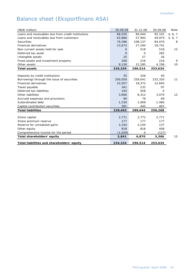# Balance sheet (Eksportfinans ASA)

| (NOK million)                                      | 30.09.09 | 31.12.08 | 30.09.08 | Note    |
|----------------------------------------------------|----------|----------|----------|---------|
| Loans and receivables due from credit institutions | 68,035   | 90.044   | 95,101   | 4, 6, 7 |
| Loans and receivables due from customers           | 63,866   | 57,993   | 49,974   | 5, 6, 7 |
| <b>Securities</b>                                  | 79,396   | 108,137  | 84,070   | 8       |
| <b>Financial derivatives</b>                       | 13,673   | 27,294   | 18,741   |         |
| Non-current assets held for sale                   | 0        | 518      | 518      | 15      |
| Deferred tax asset                                 | $\Omega$ | O        | 282      |         |
| Intangible assets                                  | 25       | 27       | 26       |         |
| Fixed assets and investment property               | 209      | 216      | 216      | 9       |
| Other assets                                       | 9,130    | 12,285   | 4,706    | 10      |
| <b>Total assets</b>                                | 234,334  | 296,514  | 253,634  |         |
|                                                    |          |          |          |         |
| Deposits by credit institutions                    | 35       | 326      | 40       |         |
| Borrowings through the issue of securities         | 200,050  | 259,041  | 232,320  | 11      |
| <b>Financial derivatives</b>                       | 22,057   | 18,372   | 12,695   |         |
| Taxes payable                                      | 341      | 232      | 97       |         |
| Deferred tax liabilities                           | 193      | 928      | O        |         |
| Other liabilities                                  | 3,806    | 8,312    | 3,070    | 12      |
| Accrued expenses and provisions                    | 90       | 79       | 69       |         |
| Subordinated debt                                  | 1,530    | 1,909    | 1,480    |         |
| Capital contribution securities                    | 391      | 445      | 497      |         |
| <b>Total liabilities</b>                           | 228,493  | 289,644  | 250,268  |         |
|                                                    |          |          |          |         |
| Share capital                                      | 2,771    | 2.771    | 2,771    |         |
| Share premium reserve                              | 177      | 177      | 177      |         |
| Reserve for unrealized gains                       | 3,104    | 3,104    | 137      |         |
| Other equity                                       | 818      | 818      | 408      |         |
| Comprehensive income for the period                | (1,029)  | 0        | (127)    |         |
| Total shareholders' equity                         | 5,841    | 6,870    | 3,366    | 15      |
| Total liabilities and shareholders' equity         | 234,334  | 296,514  | 253,634  |         |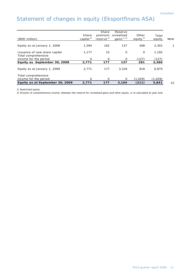# Statement of changes in equity (Eksportfinans ASA)

| (NOK million)                                        | Share<br>capital <sup>1)</sup> | Share<br>premium<br>reserve <sup>1)</sup> | Reserve<br>unrealized<br>gains $1, 2$ | Other<br>equity $^{2)}$ | Total<br>equity | Note |
|------------------------------------------------------|--------------------------------|-------------------------------------------|---------------------------------------|-------------------------|-----------------|------|
| Equity as at January 1, 2008                         | 1,594                          | 162                                       | 137                                   | 408                     | 2,301           |      |
| Issuance of new share capital<br>Total comprehensive | 1,177                          | 15                                        | $\mathbf 0$                           | $\circ$                 | 1,192           |      |
| income for the period                                | O                              | $\Omega$                                  | $\Omega$                              | (127)                   | (127)           |      |
| Equity as September 30, 2008                         | 2,771                          | 177                                       | 137                                   | 281                     | 3,366           |      |
| Equity as at January 1, 2009                         | 2.771                          | 177                                       | 3,104                                 | 818                     | 6,870           |      |
| Total comprehensive<br>income for the period         | $\Omega$                       | ∩                                         | Ω                                     | (1.029)                 | (1,029)         |      |
| Equity as at September 30, 2009                      | 2,771                          | 177                                       | 3,104                                 | (211)                   | 5,841           | 15   |

1) Restricted equity.

2) Division of comprehensive income, between the reserve for unrealized gains and other equity, is re-calculated at year-end.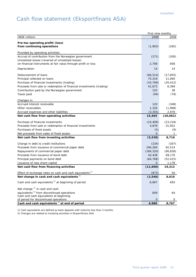# Cash flow statement (Eksportfinans ASA)

|                                                                                                                    | First nine months |           |
|--------------------------------------------------------------------------------------------------------------------|-------------------|-----------|
| (NOK million)                                                                                                      | 2009              | 2008      |
| Pre-tax operating profit/(loss)<br>from continuing operations                                                      | (1,903)           | (265)     |
| Provided by operating activities:                                                                                  |                   |           |
| Accrual of contribution from the Norwegian government                                                              | (271)             | (200)     |
| Unrealized losses (reversal of unrealized losses)<br>on financial instruments at fair value through profit or loss | 2,708             | 606       |
| Depreciation                                                                                                       | 14                | 14        |
| Disbursement of loans                                                                                              | (66, 514)         | (17, 855) |
| Principal collected on loans                                                                                       | 75,319            | 11,060    |
| Purchase of financial investments (trading)                                                                        | (33, 709)         | (20, 412) |
| Proceeds from sale or redemption of financial investments (trading)                                                | 41,672            | 6,369     |
| Contribution paid by the Norwegian government                                                                      | 152               | 38        |
| Taxes paid                                                                                                         | (94)              | (79)      |
| Changes in:                                                                                                        |                   |           |
| Accrued interest receivable                                                                                        | 120               | (348)     |
| Other receivables                                                                                                  | 1,326             | (1,968)   |
| Accrued expenses and other liabilities                                                                             | (3, 355)          | 2,978     |
| Net cash flow from operating activities                                                                            | 15,465            | (20, 062) |
| Purchase of financial investments                                                                                  | (10, 409)         | (23, 234) |
| Proceeds from sale or redemption of financial investments                                                          | 4,876             | 31,952    |
| Purchases of fixed assets                                                                                          | (5)               | (9)       |
| Net proceeds from sales of fixed assets                                                                            | $\overline{O}$    | 1         |
| Net cash flow from investing activities                                                                            | (5,538)           | 8,710     |
| Change in debt to credit institutions                                                                              | (234)             | (307)     |
| Proceeds from issuance of commercial paper debt                                                                    | 194,284           | 92,514    |
| Repayments of commercial paper debt                                                                                | (184, 320)        | (90, 828) |
| Proceeds from issuance of bond debt                                                                                | 43,438            | 69,170    |
| Principal payments on bond debt                                                                                    | (64, 768)         | (52, 415) |
| Issuance of new share capital                                                                                      | $\overline{O}$    | 1,178     |
| Net cash flow from financing activities                                                                            | (11,600)          | 19,312    |
| Effect of exchange rates on cash and cash equivalents <sup>1)</sup>                                                | (873)             | 50        |
| Net change in cash and cash equivalents $1$                                                                        | (2, 546)          | 8,010     |
| Cash and cash equivalents <sup>1)</sup> at beginning of period                                                     | 6,667             | 693       |
| Net change <sup>2)</sup> in cash and cash                                                                          |                   |           |
| equivalents <sup>1)</sup> from discontinued operations                                                             | 859               | 64        |
| Cash and cash equivalents at beginning                                                                             |                   |           |
| of period for discontinued operations                                                                              | 0                 | 0         |
| Cash and cash equivalents $\frac{1}{1}$ at end of period                                                           | 4,980             | 8,767     |

1) Cash equivalents are defined as bank deposits with maturity less than 3 months.

2) Changes are related to investing activities in Eksportfinans ASA.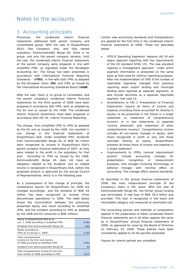#### Notes to the accounts

#### 1. Accounting principles

Previously, the condensed interim financial statements addressed both parent company and consolidated group. With the sale of Eksportfinans ASA's (the Company) only, and fully owned subsidiary, Kommunekreditt Norge AS, there is no group, and only the parent company remains. Until the sale, the condensed interim financial statements of the parent company were prepared in line with simplified IFRS, as regulated under the Norwegian Accounting Act. The Group has been presented in accordance with International Financial Reporting Standards – (**IFRS**), in line with both IFRS as adopted by the European Union (**EU**) and IFRS as issued by the International Accounting Standards Board (**IASB**).

After the sale, there is no group to consolidate, and the parent company's condensed interim financial statements for the third quarter of 2009 have been prepared in accordance with IFRS, both as adopted by the EU and as issued by the IASB. The condensed interim financial statements have been prepared in accordance with IAS 34, Interim Financial Reporting.

The change, from simplified IFRS to IFRS as adopted by the EU and as issued by the IASB, has resulted in one change in the financial statements of Eksportfinans ASA. Under simplified IFRS, dividends from Kommunekreditt Norge AS of NOK 64 million were recognized as income in Eksportfinans ASA's parent company financial statements of 2007, as they were related to the profit in the subsidiary for that year. According to IFRS as issued by the IASB, Kommunekreditt Norge AS does not have an obligation related to the dividend, and no related income is recognized in Eksportfinans ASA, before the proposed amount is approved by the annual Council of Representatives, which is in the following year.

As a consequence of this change of principle, the comparative figures for Eksportfinans for 2008 are changed accordingly, and the dividend of NOK 64 million has been recognized as income (from discontinued operations) in 2008. The table below shows the reconciliation between the previously presented equity and result according to simplified IFRS, and the numbers according to IFRS as adopted by the IASB and EU (amounts in NOK million):

| Equity of Eksportfinans ASA as of<br>Jan. 1, 2008 according to simplified IFRS                  | 2,365 |
|-------------------------------------------------------------------------------------------------|-------|
| Dividend from KommuneKreditt Norge AS                                                           | (64)  |
| Equity according to<br>IFRS as of January 1, 2008                                               | 2.301 |
| Total comprehensive<br>income for the first nine months<br>of 2008 according to simplified IFRS | (191) |
| Dividend from Kommunekreditt Norge AS                                                           |       |
| Total comprehensive income for the first<br>nine months of 2008 according to IFRS               |       |

Certain new accounting standards and interpretations are applied for the first time in the condensed interim financial statements of 2009. These are described below:

- IFRS 8 'Operating Segments' replaces IAS 14 and aligns segment reporting with the requirements of the US standard SFAS 131. The new standard requires a 'management approach', under which segment information is presented on the same basis as that used for internal reporting purposes. After the implementation of IFRS 8 the number of reportable segments changed from previous reporting when export lending and municipal lending were reported as separate segments, to also include securities as a separate reportable segment. See note 13.
- Amendments to IAS 1 'Presentation of Financial Statements' require all items of income and expense (including those accounted for directly in equity) to be presented in the future in a single statement (a 'statement of comprehensive income') or in two statements (a separate 'income statement' and 'statement of other comprehensive income'). Comprehensive income includes all non-owner changes in equity, both those recognized in profit or loss and those recorded directly to equity. Eksportfinans presents all these items of income and expense in a single statement.
- Improvements to IFRSs (annual improvement project) include accounting changes for presentation, recognition or measurement purposes, and changes involving terminology or editorial changes with minimal effect on accounting. The changes affect several standards.

As described in the annual financial statements of 2008, the main measurement principle of the Company's loans is fair value. With the sale of Kommunekreditt Norge AS, the former group funding was terminated. A new loan of NOK 34.4 billion was provided. This loan is recognized in the loans and receivables category and measured at amortized cost.

The accounting policies and methods of computation applied in the preparation of these condensed interim financial statements are in all other aspects the same as in Eksportfinans' annual financial statements of 2008, as approved for issue by the Board of Directors on February 24, 2009. These policies have been consistently applied to all the periods presented.

Figures for interim periods are unaudited.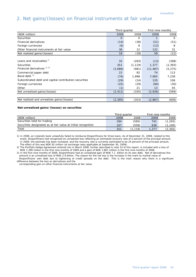## 2. Net gains/(losses) on financial instruments at fair value

|                                                       | Third quarter |          | First nine months |          |
|-------------------------------------------------------|---------------|----------|-------------------|----------|
| (NOK million)                                         | 2009          | 2008     | 2009              | 2008     |
| <b>Securities</b>                                     | $\Omega$      | $\Omega$ |                   | $\Omega$ |
| Financial derivatives                                 | (14)          | (38)     | (51)              | (51)     |
| Foreign currencies                                    | (6)           | 8        | (13)              | 8        |
| Other financial instruments at fair value             | 36            | 12       | 122               | 31       |
| Net realized gains/(losses)                           | 16            | (18)     | 59                | (12)     |
|                                                       |               |          |                   |          |
| Loans and receivables <sup>1)</sup>                   | 35            | (283)    | (13)              | (398)    |
| <b>Securities</b>                                     | 351           | (1, 119) | 1,377             | (2, 393) |
| Financial derivatives <sup>2)</sup> <sup>3)</sup>     | (2,688)       | (981)    | (11, 487)         | (5, 275) |
| Commercial paper debt                                 | 22            | 82       | 74                | 113      |
| Bond debt <sup>3)</sup>                               | (76)          | 1,998    | 7,065             | 7,238    |
| Subordinated debt and capital contribution securities | (29)          | (24)     | 129               | 106      |
| Foreign currencies                                    | (25)          | (29)     | (84)              | (30)     |
| Other                                                 | (1)           | 21       | 13                | 45       |
| Net unrealized gains/(losses)                         | (2, 411)      | (335)    | (2,926)           | (594)    |
|                                                       |               |          |                   |          |
| Net realized and unrealizes gains/(losses)            | (2, 395)      | (353)    | (2, 867)          | (606)    |

#### **Net unrealized gains/(losses) on securities**

|                                                               |      | Third quarter | First nine months |          |
|---------------------------------------------------------------|------|---------------|-------------------|----------|
| (NOK million)                                                 | 2009 | 2008          | 2009              | 2008     |
| Securities held for trading                                   | 184  | (560)         | 741               | (1, 293) |
| Securities designated as at fair value at initial recognition | 167  | (559)         | 636               | ,100)    |
| Total                                                         | 351  | .119)         | .377              | (2, 393) |

1) In 2008, an Icelandic bank unlawfully failed to reimburse Eksportfinans for three loans. As of December 31, 2008, related to this event, Eksportfinans had recognized an unrealized loss reflecting an estimated recovery rate of 5 percent of the principal amount. In 2009, the estimate has been reviewed, and the recovery rate is currently estimated to be 24 percent of the principal amount. The effect of this was NOK 92 million (at exchange rates applicable at September 30, 2009).

2) The Portfolio Hedge Agreement entered into in March 2008, further described in note 14 of this report, is included with a loss of NOK 1,399 million in the first nine months of 2009 and a gain of NOK 1,867 million in the first nine months of 2008.

3) In the first nine months of 2009, Eksportfinans had an unrealized gain of NOK 7.1 billion on its own debt. Net of derivatives this amount is an unrealized loss of NOK 2.9 billion. The reason for the net loss is the increase in the mark-to market value of Eksportfinans' own debt due to tightening of credit spreads on the debt. This is the main reason why there is a significant difference between the loss on derivatives and the

corresponding gain on other financial instruments at fair value.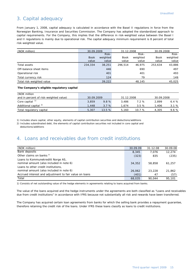## 3. Capital adequacy

From January 1, 2008, capital adequacy is calculated in accordance with the Basel II regulations in force from the Norwegian Banking, Insurance and Securities Commission. The Company has adopted the standardized approach to capital requirements. For the Company, this implies that the difference in risk-weighted value between the Basel I and II regulations is mainly due to operational risk. The capital adequacy minimum requirement is 8 percent of total risk-weighted value.

| (NOK million)             |             | 30.09.2009<br>31.12.2008 |         | 30.09.2008 |         |          |
|---------------------------|-------------|--------------------------|---------|------------|---------|----------|
|                           |             | Risk-                    |         | Risk-      |         | Risk-    |
|                           | <b>Book</b> | weighted                 | Book    | weighted   | Book    | weighted |
|                           | value       | value                    | value   | value      | value   | value    |
| Total assets              | 234,334     | 38,251                   | 296.514 | 46.975     | 253.634 | 43,886   |
| Off-balance sheet items   |             | 446                      |         | 690        |         | 497      |
| Operational risk          |             | 401                      |         | 401        |         | 493      |
| Total currency risk       |             | 124                      |         | 79         |         | 149      |
| Total risk-weighted value |             | 39,222                   |         | 48,145     |         | 45,025   |

#### **The Company's eligible regulatory capital**

| (NOK million                           |            |       |            |          |            |       |
|----------------------------------------|------------|-------|------------|----------|------------|-------|
| and in percent of risk-weighted value) | 30.09.2009 |       | 31.12.2008 |          | 30.09.2008 |       |
| Core capital <sup>1)</sup>             | 3,859      | 9.8%  | 3.486      | 7.2%     | 2.899      | 6.4%  |
| Additional capital <sup>2)</sup>       | 1,448      | 3.7%  | 1.674      | $3.5 \%$ | .406       | 3.1%  |
| Total regulatory capital               | 5,307      | 13.5% | 5.160      | 10.7%    | 4.305      | 9.6 % |

1) Includes share capital, other equity, elements of capital contribution securities and deductions/additions

2) Includes subordinated debt, the elements of capital contribution securities not included in core capital and

deductions/additions

#### 4. Loans and receivables due from credit institutions

| (NOK million)                                                                 | 30.09.09 | 31.12.08 | 30.09.08 |
|-------------------------------------------------------------------------------|----------|----------|----------|
| Bank deposits                                                                 | 8,345    | 7.076    | 12.274   |
| Other claims on banks <sup>1)</sup>                                           | (323)    | 835      | (235)    |
| Loans to Kommunekreditt Norge AS,<br>nominal amount (also included in note 6) | 34,352   | 58,858   | 61,257   |
| Loans to other credit institutions,                                           |          |          |          |
| nominal amount (also included in note 6)                                      | 26,062   | 23,228   | 21,862   |
| Accrued interest and adjustment to fair value on loans                        | (401)    | 47       | (57)     |
| Total                                                                         | 68,035   | 90.044   | 95,101   |

1) Consists of net outstanding value of the hedge elements in agreements relating to loans acquired from banks.

The value of the loans acquired and the hedge instruments under the agreements are both classified as "Loans and receivables due from credit institutions" in accordance with IFRS because not substantially all risk and rewards have been transferred.

The Company has acquired certain loan agreements from banks for which the selling bank provides a repayment guarantee, therefore retaining the credit risk of the loans. Under IFRS these loans classify as loans to credit institutions.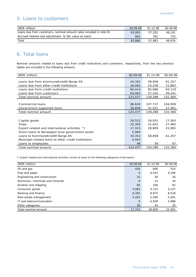## 5. Loans to customers

| (NOK million)                                                      | 30.09.09 | 31.12.08 | 30.09.08 |
|--------------------------------------------------------------------|----------|----------|----------|
| Loans due from customers, nominal amount (also included in note 6) | 63,063   | 57,202   | 49.241   |
| Accrued interest and adjustment to fair value on loans             | 803      | 791      | 733      |
| Total                                                              | 63,866   | 57.993   | 49.974   |

## 6. Total loans

Nominal amounts related to loans due from credit institutions and customers, respectively, from the two previous tables are included in the following analysis.

| (NOK million)                                        | 30.09.09 | 31.12.08 | 30.09.08 |
|------------------------------------------------------|----------|----------|----------|
|                                                      |          |          |          |
| Loans due from Kommunekreditt Norge AS               | 34,352   | 58,858   | 61,257   |
| Loans due from other credit institutions             | 26,062   | 23,228   | 21,862   |
| Loans due from credit institutions                   | 60,414   | 82,086   | 83,119   |
| Loans due from customers                             | 63,063   | 57,202   | 49,241   |
| Total nominal amount                                 | 123,477  | 139,288  | 132,360  |
|                                                      |          |          |          |
| Commercial loans                                     | 86,628   | 107,737  | 104,959  |
| Government-supported loans                           | 36,849   | 31,551   | 27,401   |
| Total nominal amount                                 | 123,477  | 139,288  | 132,360  |
|                                                      |          |          |          |
| Capital goods                                        | 28,522   | 19,931   | 17,563   |
| Ships                                                | 32,303   | 31,631   | 27,482   |
| Export-related and international activities *)       | 17,315   | 28,809   | 25,991   |
| Direct loans to Norwegian local government sector    | 5,994    |          |          |
| Loans to Kommunekreditt Norge AS                     | 34,352   | 58,858   | 61,257   |
| Municipal-related loans to other credit institutions | 4,943    |          |          |
| Loans to employees                                   | 48       | 59       | 67       |
| Total nominal amount                                 | 123,477  | 139,288  | 132,360  |

\*) Export-related and international activities consist of loans to the following categories of borrowers:

| (NOK million)                    | 30.09.09    | 31.12.08 | 30.09.08 |
|----------------------------------|-------------|----------|----------|
| Oil and gas                      | 430         | 606      | 514      |
| Pulp and paper                   | $\mathbf 0$ | 4,933    | 4,166    |
| Engineering and construction     | 25          | 30       | 26       |
| Aluminum, chemicals and minerals | 9           | 13       | 34       |
| Aviation and shipping            | 83          | 106      | 92       |
| Consumer goods                   | 3,083       | 3.715    | 3,127    |
| Banking and finance              | 8,392       | 8,875    | 8,518    |
| Real estate management           | 5,263       | 5.569    | 5,491    |
| IT and telecommunication         | $\mathbf 0$ | 4.928    | 3,988    |
| Other categories                 | 30          | 34       | 35       |
| Total nominal amount             | 17,315      | 28,809   | 25,991   |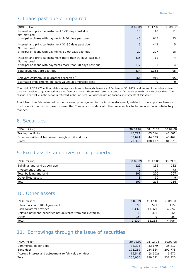## 7. Loans past due or impaired

| (NOK million)                                                | 30.09.09 | 31.12.08 | 30.09.08 |
|--------------------------------------------------------------|----------|----------|----------|
| Interest and principal instalment 1-30 days past due         | 10       | 10       | 11       |
| Not matured                                                  |          |          |          |
| principal on loans with payments 1-30 days past due          | 46       | 645      | 53       |
| Interest and principal instalment 31-90 days past due        | 6        | 449      | 5        |
| Not matured                                                  |          |          |          |
| principal on loans with payments 31-90 days past due         | 20       | 207      | 18       |
| Interest and principal instalment more than 90 days past due | 435      | 11       | 4        |
| Not matured                                                  |          |          |          |
| principal on loans with payments more than 90 days past due  | 117      | 33       | 4        |
| Total loans that are past due                                | 634      | 1.355    | 95       |
|                                                              |          |          |          |
| Relevant collateral or quarantees received <sup>*)</sup>     | 164      | 910      | 95       |
| Estimated impairments on loans valued at amortized cost      | $\Omega$ | O        | 0        |

\*) A total of NOK 470 million relates to exposure towards Icelandic banks as of September 30, 2009, and are as of the balance sheet date not considered guaranteed in a satisfactory manner. These loans are measured at fair value at each balance sheet date. The change in fair value in the period is reflected in the line item 'Net gains/losses on financial instruments at fair value'.

Apart from the fair value adjustments already recognized in the income statement, related to the exposure towards the Icelandic banks discussed above, the Company considers all other receivables to be secured in a satisfactory manner.

#### 8. Securities

| (NOK million)                                          | 30.09.09 | 31.12.08 | 30.09.08 |
|--------------------------------------------------------|----------|----------|----------|
| Trading portfolio                                      | 46.722   | 63.514   | 43,601   |
| Other securities at fair value through profit and loss | 32.674   | 44.623   | 40.469   |
| Total                                                  | 79,396   | 108,137  | 84.070   |

#### 9. Fixed assets and investment property

| (NOK million)                 | 30.09.09 | 31.12.08 | 30.09.08 |
|-------------------------------|----------|----------|----------|
| Buildings and land at own use | 129      | 132      | 132      |
| Investment property           | 72       | 7Δ       | 75       |
| Total building and land       | 201      | 206      | 207      |
| Other fixed assets            | 8        | 10       |          |
| Total                         | 209      | 216      | 216      |

#### 10. Other assets

| (NOK million)                                                | 30.09.09 | 31.12.08 | 30.09.08 |
|--------------------------------------------------------------|----------|----------|----------|
| Interim account 108-Agreement                                | 677      | 591      | 415      |
| Cash collateral provided                                     | 8.437    | 11,379   | 4,224    |
| Delayed payment, securities not delivered from our custodian |          | 306      | 32       |
| Other                                                        | 15       | Ω        | 35       |
| Total                                                        | 9.130    | 12,285   | 4,706    |

## 11. Borrowings through the issue of securities

| (NOK million)                                         | 30.09.09 | 31.12.08 | 30.09.08 |
|-------------------------------------------------------|----------|----------|----------|
| Commercial paper debt                                 | 38,303   | 33,179   | 35,212   |
| Bond debt                                             | 178,289  | 234,364  | 202.778  |
| Accrued interest and adjustment to fair value on debt | (16.542) | (8.502)  | (5.670)  |
| Total                                                 | 200,050  | 259,041  | 232,320  |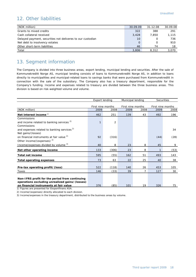#### 12. Other liabilities

| (NOK million)                                              | 30.09.09 | 31.12.08 | 30.09.08 |
|------------------------------------------------------------|----------|----------|----------|
| Grants to mixed credits                                    | 322      | 388      | 291      |
| Cash collateral received                                   | 3,428    | 7.850    | 1,115    |
| Delayed payment, securities not deliveres to our custodian | 10       |          | 736      |
| Net debt to insolvency estates                             | O        | O        | 910      |
| Other short-term liabilities                               | 46       | 74       | 18       |
| Total                                                      | 3,806    | 8,312    | 3,070    |

## 13. Segment information

The Company is divided into three business areas, export lending, municipal lending and securities. After the sale of Kommunekreditt Norge AS, municipal lending consists of loans to Kommunekreditt Norge AS, in addition to loans directly to municipalities and municipal-related loans to savings banks that were purchased from Kommunekreditt in connection with the sale of the subsidiary. The Company also has a treasury department, responsible for the Company's funding. Income and expenses related to treasury are divided between the three business areas. This division is based on risk-weighted volume and volume.

|                                                        | <b>Export lending</b> |                |                   | Municipal lending |                   | <b>Securities</b> |
|--------------------------------------------------------|-----------------------|----------------|-------------------|-------------------|-------------------|-------------------|
|                                                        |                       |                |                   |                   |                   |                   |
|                                                        | First nine months     |                | First nine months |                   | First nine months |                   |
| (NOK million)                                          | 2009                  | 2008           | 2009              | 2008              | 2009              | 2008              |
| Net interest income <sup>1)</sup>                      | 462                   | 251            | 139               | 43                | 492               | 196               |
| Commissions                                            |                       |                |                   |                   |                   |                   |
| and income related to banking services <sup>2)</sup>   | $\mathbf{1}$          | $\overline{2}$ |                   |                   |                   |                   |
| Commissions                                            |                       |                |                   |                   |                   |                   |
| and expenses related to banking services <sup>2)</sup> |                       |                |                   |                   |                   | 34                |
| Net gains/(losses)                                     |                       |                |                   |                   |                   |                   |
| on financial instruments at fair value <sup>2)</sup>   | 92                    | (316)          |                   |                   | (44)              | (28)              |
| Other income/(expenses) <sup>2)</sup>                  |                       |                |                   |                   |                   |                   |
| Income/expenses divided by volume 3)                   | 40                    | 8              | 23                | 8                 | 45                | 9                 |
| Net other operating income                             | 133                   | (306)          | 23                | 8                 | 1                 | (53)              |
| Total net income                                       | 595                   | (55)           | 162               | 51                | 493               | 143               |
| <b>Total operating expenses</b>                        | 73                    | 63             | 22                | 25                | 40                | 38                |
|                                                        |                       |                |                   |                   |                   |                   |
| Pre-tax operating profit/(loss)                        | 522                   | (118)          | 140               | 26                | 453               | 105               |
| Taxes                                                  | 146                   | (33)           | 39                | 7                 | 127               | 30                |
|                                                        |                       |                |                   |                   |                   |                   |
| Non-IFRS profit for the period from continuing         |                       |                |                   |                   |                   |                   |
| operations excluding unrealized gains/(losses)         |                       |                |                   |                   |                   |                   |
| on financial instruments at fair value                 | 376                   | (85)           | 101               | 19                | 326               | 75                |

1) Figures are presented for Eksportfinans ASA.

2) Income/(expenses) directly allocated to each division.

3) Income/expenses in the treasury department, distributed to the business areas by volume.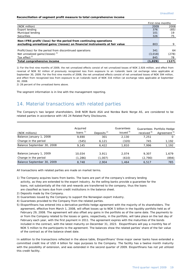#### **Reconciliation of segment profit measure to total comprehensive income**

|                                                                                                                                                | First nine months |       |
|------------------------------------------------------------------------------------------------------------------------------------------------|-------------------|-------|
| (NOK million)                                                                                                                                  |                   | 2008  |
| Export lending                                                                                                                                 | 376               | (85)  |
| Municipal lending                                                                                                                              | 101               | 19    |
| Securities                                                                                                                                     | 326               | 75    |
| Non-IFRS profit/(loss) for the period from continuing operations<br>excluding unrealized gains/(losses) on financial instruments at fair value | 803               |       |
| Profit/(loss) for the period from discontinued operations                                                                                      | 341               | 64    |
| Net unrealized gains/(losses) <sup>1)</sup>                                                                                                    | (3,018)           | (278) |
| Tax effect <sup>2)</sup>                                                                                                                       | 845               | 78    |
| Total comprehensive income                                                                                                                     | (1,029)           | (127) |

1) For the first nine months of 2009, the net unrealized effects consist of net unrealized losses of NOK 2,926 million, and effect from reversal of NOK 92 million of previously recognized loss from exposure to an Icelandic bank (at exchange rates applicable at September 30, 2009. For the first nine months of 2008, the net unrealized effects consist of net unrealized losses of NOK 594 million, and effect from recognized loss from exposure to an Icelandic bank of NOK 316 million (at exchange rates applicable at September 30, 2008.

2) 28 percent of the unrealized items above.

The segment information is in line with the management reporting.

## 14. Material transactions with related parties

The Company's two largest shareholders, DnB NOR Bank ASA and Nordea Bank Norge AS, are considered to be related parties in accordance with IAS 24 Related Party Disclosures.

| (NOK millions)             | Acquired<br>loans $1)$ | Deposits $^{2)}$ | Guarantees<br>issued <sup>3)</sup> | received <sup>4)</sup> | Guarantees Portfolio Hedge<br>Agreement <sup>5)</sup> |
|----------------------------|------------------------|------------------|------------------------------------|------------------------|-------------------------------------------------------|
| Balance January 1, 2008    | 9.690                  | 301              | 2.130                              | 7.251                  |                                                       |
| Change in the period       | (545)                  | 6,121            | (320)                              | 745                    | 1,192                                                 |
| Balance September 30, 2008 | 9.145                  | 6,422            | 1,810                              | 7.996                  | 1,192                                                 |
| Balance January 1, 2009    | 10,034                 | 3.911            | 2.074                              | 9.307                  | 1,679                                                 |
| Change in the period       | (1,286)                | (1,007)          | (610)                              | (2,790)                | (894)                                                 |
| Balance September 30, 2009 | 8,748                  | 2.904            | 1,464                              | 6,517                  | 785                                                   |

All transactions with related parties are made on market terms.

- 1) The Company acquires loans from banks. The loans are part of the company's ordinary lending activity, as they are extended to the export industry. As the selling banks provide a guarantee for the loans, not substantially all the risk and rewards are transferred to the company, thus the loans are classified as loans due from credit institutions in the balance sheet.
- 2) Deposits made by the Company.
- 3) Guarantees issued by the Company to support the Norwegian export industry.
- 4) Guarantees provided to the Company from the related parties.
- 5) Eksportfinans has entered into a derivative portfolio hedge agreement with the majority of its shareholders. The agreement, effective from March 1, 2008, will offset losses up to NOK 5 billion in the liquidity portfolio held as of February 29, 2008. The agreement will also offset any gains in the portfolio as of the same date. The payments to or from the Company related to the losses or gains, respectively, in the portfolio, will take place on the last day of February each year, with the first payment in 2011. The agreement expires with the maturities of the bonds included in the contract, with the latest maturity on December 31, 2023. Eksportfinans will pay a monthly fee of NOK 5 million to the participants to the agreement. The balances show the related parties' share of the fair value of the contract as of the balance sheet date.

In addition to the transactions reflected in the above table, Eksportfinans' three major owner banks have extended a committed credit line of USD 4 billion for repo purposes to the Company. The facility has a twelve month maturity with the possibility of extension, and was extended in the second quarter of 2009. Eksportfinans has not yet utilized this credit facility.